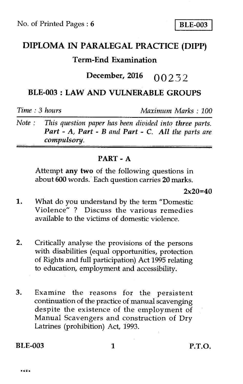# **DIPLOMA IN PARALEGAL PRACTICE (DIPP)**

## **Term-End Examination**

## **December, 2016** 00232

## **BLE-003 : LAW AND VULNERABLE GROUPS**

*Time : 3 hours Maximum Marks : 100* 

*Note : This question paper has been divided into three parts. Part - A, Part - B and Part - C. All the parts are compulsory.* 

### **PART - A**

Attempt **any two** of the following questions in about **600** words. Each question carries **20** marks.

**2x20=40** 

- 1. What do you understand by the term "Domestic Violence" ? Discuss the various remedies available to the victims of domestic violence.
- 2. Critically analyse the provisions of the persons with disabilities (equal opportunities, protection of Rights and full participation) Act 1995 relating to education, employment and accessibility.
- 3. Examine the reasons for the persistent continuation of the practice of manual scavenging despite the existence of the employment of Manual Scavengers and construction of Dry Latrines (prohibition) Act, 1993.

**BLE-003** 1 **P.T.O.**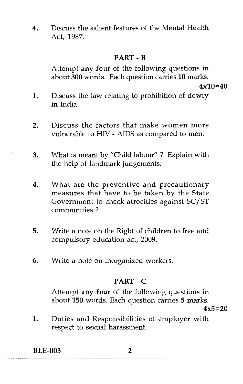**4.** Discuss the salient features of the Mental Health Act, 1987.

### **PART - B**

Attempt **any four** of the following questions in about **300** words. Each question carries **10** marks.

**4x10=40** 

- 1. Discuss the law relating to prohibition of dowry in India.
- 2. Discuss the factors that make women more vulnerable to HIV - AIDS as compared to men.
- 3. What is meant by "Child labour" ? Explain with the help of landmark judgements.
- 4. What are the preventive and precautionary measures that have to be taken by the State Government to check atrocities against SC/ST communities ?
- 5. Write a note on the Right of children to free and compulsory education act, 2009.
- 6. Write a note on inorganized workers.

### **PART -** C

Attempt **any four** of the following questions in about **150** words. Each question carries **5** marks. **4x5=20** 

**1.** Duties and Responsibilities of employer with respect to sexual harassment.

**BLE-003 2**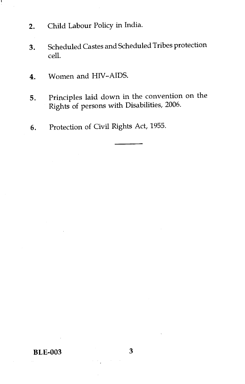2. Child Labour Policy in India.

л

- 3. Scheduled Castes and Scheduled Tribes protection cell.
- 4. Women and HIV-AIDS.
- 5. Principles laid down in the convention on the Rights of persons with Disabilities, 2006.
- 6. Protection of Civil Rights Act, 1955.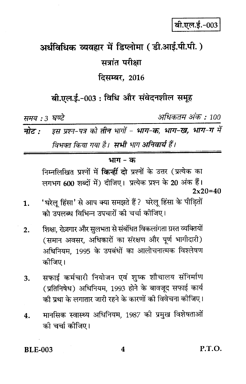# अर्धविधिक व्यवहार में डिप्लोमा ( डी.आई.पी.पी. ) सत्रांत परीक्षा

## दिसम्बर, 2016

## बी.एल.ई.-003 : विधि और संवेदनशील समूह

समय : 3 घण्टे

अधिकतम अंक : 100

इस प्रश्न-पत्र को तीन भागों - भाग-क, भाग-ख, भाग-ग में नोट $\cdot$ विभक्त किया गया है। सभी भाग अनिवार्य हैं।

#### भाग – क

निम्नलिखित प्रश्नों में **किन्हीं दो** प्रश्नों के उत्तर (प्रत्येक का लगभग 600 शब्दों में) दीजिए। प्रत्येक प्रश्न के 20 अंक हैं।  $2x20=40$ 

- 'घरेल हिंसा' से आप क्या समझते हैं ? घरेलू हिंसा के पीड़ितों 1. को उपलब्ध विभिन्न उपचारों की चर्चा कोजिए।
- शिक्षा, रोज़गार और सुलभता से संबंधित विकलांगता ग्रस्त व्यक्तियों  $2.$ (समान अवसर, अधिकारों का संरक्षण और पूर्ण भागीदारी) अधिनियम, 1995 के उपबंधों का आलोचनात्मक विश्लेषण कोजिए।
- सफाई कर्मचारी नियोजन एवं शुष्क शौचालय संनिर्माण 3. (प्रतिनिषेध) अधिनियम, 1993 होने के बावजूद सफाई कार्य की प्रथा के लगातार जारी रहने के कारणों की विवेचना कीजिए।
- मानसिक स्वास्थ्य अधिनियम, 1987 को प्रमुख विशेषताओं 4. को चर्चा कोजिए।

**BLE-003**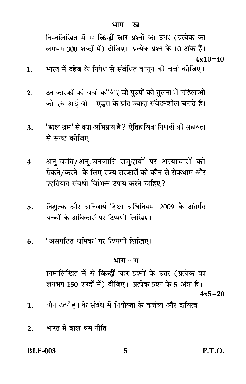निम्नलिखित में से **किन्हीं चार** प्रश्नों का उत्तर (प्रत्येक का लगभग 300 शब्दों में) दीजिए। प्रत्येक प्रश्न के 10 अंक हैं।  $4x10=40$ 

- भारत में दहेज के निषेध से संबंधित कानून की चर्चा कीजिए। 1.
- उन कारकों की चर्चा कीजिए जो पुरुषों की तुलना में महिलाओं  $2.$ को एच आई वी - एडस के प्रति ज्यादा संवेदनशील बनाते हैं।
- 'बाल श्रम' से क्या अभिप्राय है ? ऐतिहासिक निर्णयों की सहायता 3. से स्पष्ट कीजिए।
- अन्.जाति/अन्.जनजाति समुदायों पर अत्याचारों को 4. रोकने/करने के लिए राज्य सरकारों को कौन से रोकथाम और एहतियात संबंधी विभिन्न उपाय करने चाहिए ?
- निशुल्क और अनिवार्य शिक्षा अधिनियम, 2009 के अंतर्गत  $5.$ बच्चों के अधिकारों पर टिप्पणी लिखिए।
- 'असंगठित श्रमिक' पर टिप्पणी लिखिए। 6.

### भाग - ग

निम्नलिखित में से **किन्हीं चार** प्रश्नों के उत्तर (प्रत्येक का लगभग 150 शब्दों में) दीजिए। प्रत्येक प्रश्न के 5 अंक हैं।  $4x5=20$ 

- यौन उत्पीडन के संबंध में नियोक्ता के कर्त्तव्य और दायित्व। 1.
- भारत में बाल श्रम नीति  $2.$

#### **BLE-003**

P.T.O.